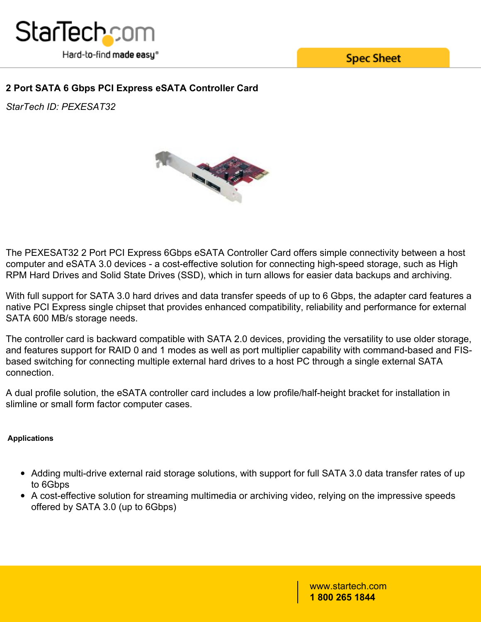

**Spec Sheet** 

## **2 Port SATA 6 Gbps PCI Express eSATA Controller Card**

*StarTech ID: PEXESAT32*



The PEXESAT32 2 Port PCI Express 6Gbps eSATA Controller Card offers simple connectivity between a host computer and eSATA 3.0 devices - a cost-effective solution for connecting high-speed storage, such as High RPM Hard Drives and Solid State Drives (SSD), which in turn allows for easier data backups and archiving.

With full support for SATA 3.0 hard drives and data transfer speeds of up to 6 Gbps, the adapter card features a native PCI Express single chipset that provides enhanced compatibility, reliability and performance for external SATA 600 MB/s storage needs.

The controller card is backward compatible with SATA 2.0 devices, providing the versatility to use older storage, and features support for RAID 0 and 1 modes as well as port multiplier capability with command-based and FISbased switching for connecting multiple external hard drives to a host PC through a single external SATA connection.

A dual profile solution, the eSATA controller card includes a low profile/half-height bracket for installation in slimline or small form factor computer cases.

## **Applications**

- Adding multi-drive external raid storage solutions, with support for full SATA 3.0 data transfer rates of up to 6Gbps
- A cost-effective solution for streaming multimedia or archiving video, relying on the impressive speeds offered by SATA 3.0 (up to 6Gbps)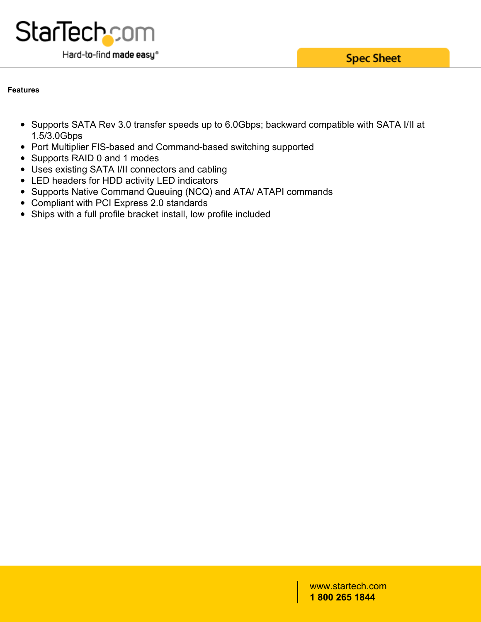

**Spec Sheet** 

#### **Features**

- Supports SATA Rev 3.0 transfer speeds up to 6.0Gbps; backward compatible with SATA I/II at 1.5/3.0Gbps
- Port Multiplier FIS-based and Command-based switching supported
- Supports RAID 0 and 1 modes
- Uses existing SATA I/II connectors and cabling
- LED headers for HDD activity LED indicators
- Supports Native Command Queuing (NCQ) and ATA/ ATAPI commands
- Compliant with PCI Express 2.0 standards
- Ships with a full profile bracket install, low profile included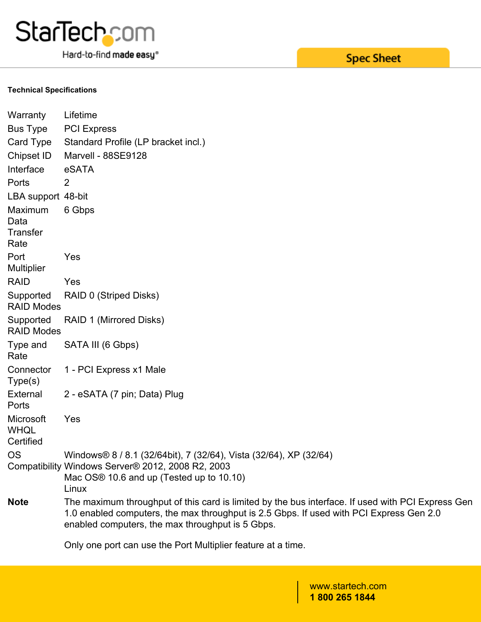

## **Spec Sheet**

### **Technical Specifications**

| Warranty                              | Lifetime                                                                                                                                                                                                                                         |
|---------------------------------------|--------------------------------------------------------------------------------------------------------------------------------------------------------------------------------------------------------------------------------------------------|
| <b>Bus Type</b>                       | <b>PCI Express</b>                                                                                                                                                                                                                               |
| Card Type                             | Standard Profile (LP bracket incl.)                                                                                                                                                                                                              |
| Chipset ID                            | Marvell - 88SE9128                                                                                                                                                                                                                               |
| Interface                             | eSATA                                                                                                                                                                                                                                            |
| Ports                                 | $\overline{2}$                                                                                                                                                                                                                                   |
| LBA support 48-bit                    |                                                                                                                                                                                                                                                  |
| Maximum<br>Data<br>Transfer<br>Rate   | 6 Gbps                                                                                                                                                                                                                                           |
| Port<br><b>Multiplier</b>             | Yes                                                                                                                                                                                                                                              |
| <b>RAID</b>                           | Yes                                                                                                                                                                                                                                              |
| Supported<br><b>RAID Modes</b>        | RAID 0 (Striped Disks)                                                                                                                                                                                                                           |
| Supported<br><b>RAID Modes</b>        | RAID 1 (Mirrored Disks)                                                                                                                                                                                                                          |
| Type and<br>Rate                      | SATA III (6 Gbps)                                                                                                                                                                                                                                |
| Connector<br>Type(s)                  | 1 - PCI Express x1 Male                                                                                                                                                                                                                          |
| External<br>Ports                     | 2 - eSATA (7 pin; Data) Plug                                                                                                                                                                                                                     |
| Microsoft<br><b>WHQL</b><br>Certified | Yes                                                                                                                                                                                                                                              |
| <b>OS</b>                             | Windows® 8 / 8.1 (32/64bit), 7 (32/64), Vista (32/64), XP (32/64)<br>Compatibility Windows Server® 2012, 2008 R2, 2003<br>Mac OS <sup>®</sup> 10.6 and up (Tested up to 10.10)<br>Linux                                                          |
| <b>Note</b>                           | The maximum throughput of this card is limited by the bus interface. If used with PCI Express Gen<br>1.0 enabled computers, the max throughput is 2.5 Gbps. If used with PCI Express Gen 2.0<br>enabled computers, the max throughput is 5 Gbps. |

Only one port can use the Port Multiplier feature at a time.

www.startech.com **1 800 265 1844**